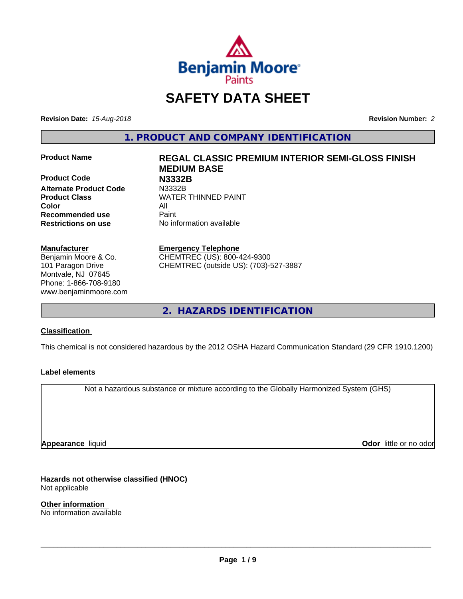

# **SAFETY DATA SHEET**

**Revision Date:** *15-Aug-2018* **Revision Number:** *2*

**1. PRODUCT AND COMPANY IDENTIFICATION**

**Product Code N3332B**<br> **Alternate Product Code** N3332B **Alternate Product Code Color** All **Recommended use** Paint **Restrictions on use** No information available

#### **Manufacturer**

Benjamin Moore & Co. 101 Paragon Drive Montvale, NJ 07645 Phone: 1-866-708-9180 www.benjaminmoore.com

# **Product Name REGAL CLASSIC PREMIUM INTERIOR SEMI-GLOSS FINISH MEDIUM BASE Product Class WATER THINNED PAINT**

#### **Emergency Telephone**

CHEMTREC (US): 800-424-9300 CHEMTREC (outside US): (703)-527-3887

**2. HAZARDS IDENTIFICATION**

### **Classification**

This chemical is not considered hazardous by the 2012 OSHA Hazard Communication Standard (29 CFR 1910.1200)

### **Label elements**

Not a hazardous substance or mixture according to the Globally Harmonized System (GHS)

**Appearance** liquid

**Odor** little or no odor

**Hazards not otherwise classified (HNOC)** Not applicable

**Other information** No information available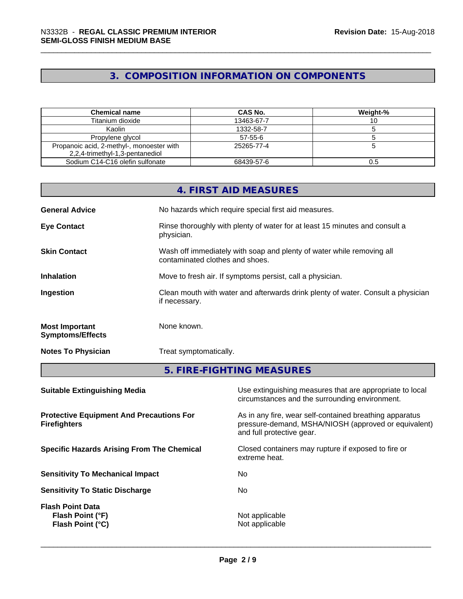# **3. COMPOSITION INFORMATION ON COMPONENTS**

| <b>Chemical name</b>                                                         | CAS No.       | Weight-% |
|------------------------------------------------------------------------------|---------------|----------|
| Titanium dioxide                                                             | 13463-67-7    |          |
| Kaolin                                                                       | 1332-58-7     |          |
| Propylene glycol                                                             | $57 - 55 - 6$ |          |
| Propanoic acid, 2-methyl-, monoester with<br>2,2,4-trimethyl-1,3-pentanediol | 25265-77-4    |          |
| Sodium C14-C16 olefin sulfonate                                              | 68439-57-6    |          |

|                                                  | 4. FIRST AID MEASURES                                                                                    |
|--------------------------------------------------|----------------------------------------------------------------------------------------------------------|
| <b>General Advice</b>                            | No hazards which require special first aid measures.                                                     |
| <b>Eye Contact</b>                               | Rinse thoroughly with plenty of water for at least 15 minutes and consult a<br>physician.                |
| <b>Skin Contact</b>                              | Wash off immediately with soap and plenty of water while removing all<br>contaminated clothes and shoes. |
| <b>Inhalation</b>                                | Move to fresh air. If symptoms persist, call a physician.                                                |
| Ingestion                                        | Clean mouth with water and afterwards drink plenty of water. Consult a physician<br>if necessary.        |
| <b>Most Important</b><br><b>Symptoms/Effects</b> | None known.                                                                                              |
| <b>Notes To Physician</b>                        | Treat symptomatically.                                                                                   |
|                                                  | 5. FIRE-FIGHTING MEASURES                                                                                |

| Use extinguishing measures that are appropriate to local<br>circumstances and the surrounding environment.                                   |
|----------------------------------------------------------------------------------------------------------------------------------------------|
| As in any fire, wear self-contained breathing apparatus<br>pressure-demand, MSHA/NIOSH (approved or equivalent)<br>and full protective gear. |
| Closed containers may rupture if exposed to fire or<br>extreme heat.                                                                         |
| No.                                                                                                                                          |
| No.                                                                                                                                          |
| Not applicable<br>Not applicable                                                                                                             |
|                                                                                                                                              |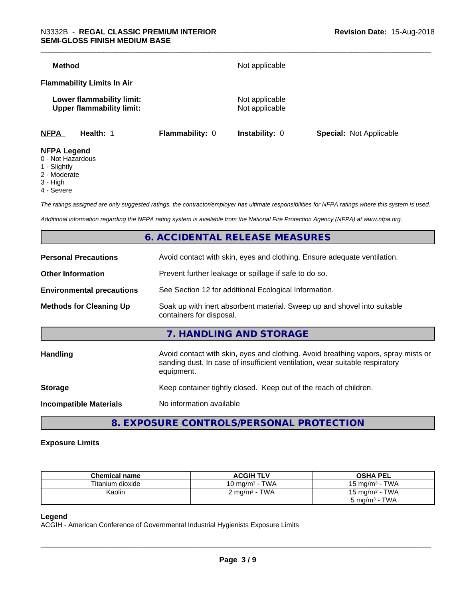| <b>Method</b>                                                 |                 | Not applicable                   |                                |
|---------------------------------------------------------------|-----------------|----------------------------------|--------------------------------|
| <b>Flammability Limits In Air</b>                             |                 |                                  |                                |
| Lower flammability limit:<br><b>Upper flammability limit:</b> |                 | Not applicable<br>Not applicable |                                |
| <b>NFPA</b><br>Health: 1                                      | Flammability: 0 | Instability: 0                   | <b>Special: Not Applicable</b> |
| <b>NFPA Legend</b><br>0 - Not Hazardous                       |                 |                                  |                                |

- 1 Slightly
- 2 Moderate
- 3 High
- 4 Severe

*The ratings assigned are only suggested ratings, the contractor/employer has ultimate responsibilities for NFPA ratings where this system is used.*

*Additional information regarding the NFPA rating system is available from the National Fire Protection Agency (NFPA) at www.nfpa.org.*

# **6. ACCIDENTAL RELEASE MEASURES**

| <b>Personal Precautions</b>      | Avoid contact with skin, eyes and clothing. Ensure adequate ventilation.                                                                                                         |
|----------------------------------|----------------------------------------------------------------------------------------------------------------------------------------------------------------------------------|
| <b>Other Information</b>         | Prevent further leakage or spillage if safe to do so.                                                                                                                            |
| <b>Environmental precautions</b> | See Section 12 for additional Ecological Information.                                                                                                                            |
| <b>Methods for Cleaning Up</b>   | Soak up with inert absorbent material. Sweep up and shovel into suitable<br>containers for disposal.                                                                             |
|                                  | 7. HANDLING AND STORAGE                                                                                                                                                          |
| <b>Handling</b>                  | Avoid contact with skin, eyes and clothing. Avoid breathing vapors, spray mists or<br>sanding dust. In case of insufficient ventilation, wear suitable respiratory<br>equipment. |
| <b>Storage</b>                   | Keep container tightly closed. Keep out of the reach of children.                                                                                                                |
| <b>Incompatible Materials</b>    | No information available                                                                                                                                                         |
|                                  |                                                                                                                                                                                  |

**8. EXPOSURE CONTROLS/PERSONAL PROTECTION**

#### **Exposure Limits**

| <b>Chemical name</b> | <b>ACGIH TLV</b>                               | <b>OSHA PEL</b>                 |
|----------------------|------------------------------------------------|---------------------------------|
| Titanium dioxide     | TWA<br>$10 \text{ ma/m}^3 - 1$                 | TWA<br>15 mg/m <sup>3</sup> - 1 |
| Kaolin               | TWA<br>$\angle$ mg/m <sup>3</sup> - $\sqrt{ }$ | 15 mg/m $3$ - TWA               |
|                      |                                                | TWA<br>5 mg/m <sup>3</sup> -    |

#### **Legend**

ACGIH - American Conference of Governmental Industrial Hygienists Exposure Limits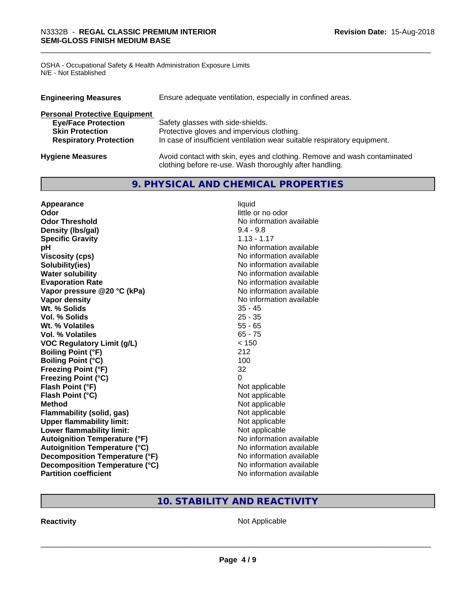OSHA - Occupational Safety & Health Administration Exposure Limits N/E - Not Established

| <b>Engineering Measures</b>          | Ensure adequate ventilation, especially in confined areas.                                                                          |  |  |  |
|--------------------------------------|-------------------------------------------------------------------------------------------------------------------------------------|--|--|--|
| <b>Personal Protective Equipment</b> |                                                                                                                                     |  |  |  |
| <b>Eye/Face Protection</b>           | Safety glasses with side-shields.                                                                                                   |  |  |  |
| <b>Skin Protection</b>               | Protective gloves and impervious clothing.                                                                                          |  |  |  |
| <b>Respiratory Protection</b>        | In case of insufficient ventilation wear suitable respiratory equipment.                                                            |  |  |  |
| <b>Hygiene Measures</b>              | Avoid contact with skin, eyes and clothing. Remove and wash contaminated<br>clothing before re-use. Wash thoroughly after handling. |  |  |  |

# **9. PHYSICAL AND CHEMICAL PROPERTIES**

| Appearance                           | liquid                   |
|--------------------------------------|--------------------------|
| Odor                                 | little or no odor        |
| <b>Odor Threshold</b>                | No information available |
| Density (Ibs/gal)                    | $9.4 - 9.8$              |
| <b>Specific Gravity</b>              | $1.13 - 1.17$            |
| pH                                   | No information available |
| <b>Viscosity (cps)</b>               | No information available |
| Solubility(ies)                      | No information available |
| <b>Water solubility</b>              | No information available |
| <b>Evaporation Rate</b>              | No information available |
| Vapor pressure @20 °C (kPa)          | No information available |
| Vapor density                        | No information available |
| Wt. % Solids                         | $35 - 45$                |
| Vol. % Solids                        | $25 - 35$                |
| Wt. % Volatiles                      | $55 - 65$                |
| Vol. % Volatiles                     | $65 - 75$                |
| <b>VOC Regulatory Limit (g/L)</b>    | < 150                    |
| <b>Boiling Point (°F)</b>            | 212                      |
| <b>Boiling Point (°C)</b>            | 100                      |
| <b>Freezing Point (°F)</b>           | 32                       |
| <b>Freezing Point (°C)</b>           | 0                        |
| Flash Point (°F)                     | Not applicable           |
| Flash Point (°C)                     | Not applicable           |
| <b>Method</b>                        | Not applicable           |
| Flammability (solid, gas)            | Not applicable           |
| <b>Upper flammability limit:</b>     | Not applicable           |
| Lower flammability limit:            | Not applicable           |
| <b>Autoignition Temperature (°F)</b> | No information available |
| <b>Autoignition Temperature (°C)</b> | No information available |
| Decomposition Temperature (°F)       | No information available |
| Decomposition Temperature (°C)       | No information available |
| <b>Partition coefficient</b>         | No information available |

# **10. STABILITY AND REACTIVITY**

**Reactivity Not Applicable** Not Applicable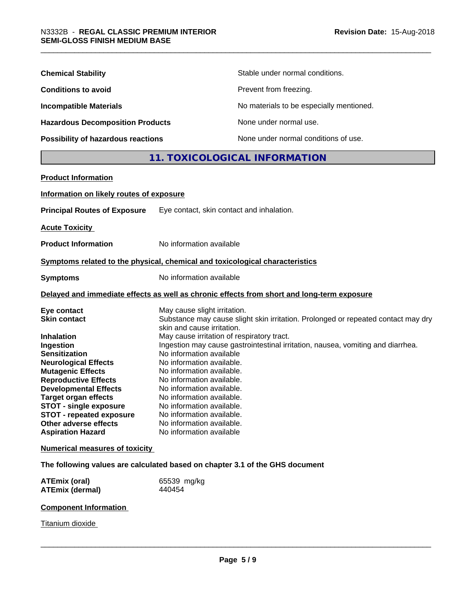| <b>Chemical Stability</b>               | Stable under normal conditions.          |
|-----------------------------------------|------------------------------------------|
| <b>Conditions to avoid</b>              | Prevent from freezing.                   |
| <b>Incompatible Materials</b>           | No materials to be especially mentioned. |
| <b>Hazardous Decomposition Products</b> | None under normal use.                   |
| Possibility of hazardous reactions      | None under normal conditions of use.     |

# **11. TOXICOLOGICAL INFORMATION**

| <b>Product Information</b>                                                                                                                                                                                                                                                                                                                                                 |                                                                                                                                                                                                                                                                                                                                                                                                                               |
|----------------------------------------------------------------------------------------------------------------------------------------------------------------------------------------------------------------------------------------------------------------------------------------------------------------------------------------------------------------------------|-------------------------------------------------------------------------------------------------------------------------------------------------------------------------------------------------------------------------------------------------------------------------------------------------------------------------------------------------------------------------------------------------------------------------------|
| Information on likely routes of exposure                                                                                                                                                                                                                                                                                                                                   |                                                                                                                                                                                                                                                                                                                                                                                                                               |
| <b>Principal Routes of Exposure</b>                                                                                                                                                                                                                                                                                                                                        | Eye contact, skin contact and inhalation.                                                                                                                                                                                                                                                                                                                                                                                     |
| <b>Acute Toxicity</b>                                                                                                                                                                                                                                                                                                                                                      |                                                                                                                                                                                                                                                                                                                                                                                                                               |
| <b>Product Information</b>                                                                                                                                                                                                                                                                                                                                                 | No information available                                                                                                                                                                                                                                                                                                                                                                                                      |
|                                                                                                                                                                                                                                                                                                                                                                            | Symptoms related to the physical, chemical and toxicological characteristics                                                                                                                                                                                                                                                                                                                                                  |
| <b>Symptoms</b>                                                                                                                                                                                                                                                                                                                                                            | No information available                                                                                                                                                                                                                                                                                                                                                                                                      |
|                                                                                                                                                                                                                                                                                                                                                                            | Delayed and immediate effects as well as chronic effects from short and long-term exposure                                                                                                                                                                                                                                                                                                                                    |
| Eye contact<br><b>Skin contact</b>                                                                                                                                                                                                                                                                                                                                         | May cause slight irritation.<br>Substance may cause slight skin irritation. Prolonged or repeated contact may dry<br>skin and cause irritation.                                                                                                                                                                                                                                                                               |
| <b>Inhalation</b><br>Ingestion<br><b>Sensitization</b><br><b>Neurological Effects</b><br><b>Mutagenic Effects</b><br><b>Reproductive Effects</b><br><b>Developmental Effects</b><br><b>Target organ effects</b><br><b>STOT - single exposure</b><br><b>STOT - repeated exposure</b><br>Other adverse effects<br><b>Aspiration Hazard</b><br>Numerical measures of toxicity | May cause irritation of respiratory tract.<br>Ingestion may cause gastrointestinal irritation, nausea, vomiting and diarrhea.<br>No information available<br>No information available.<br>No information available.<br>No information available.<br>No information available.<br>No information available.<br>No information available.<br>No information available.<br>No information available.<br>No information available |
|                                                                                                                                                                                                                                                                                                                                                                            | The following values are calculated based on chapter 3.1 of the GHS document                                                                                                                                                                                                                                                                                                                                                  |
| <b>ATEmix (oral)</b><br><b>ATEmix (dermal)</b>                                                                                                                                                                                                                                                                                                                             | 65539 mg/kg<br>440454                                                                                                                                                                                                                                                                                                                                                                                                         |
|                                                                                                                                                                                                                                                                                                                                                                            |                                                                                                                                                                                                                                                                                                                                                                                                                               |

## **Component Information**

**Titanium dioxide**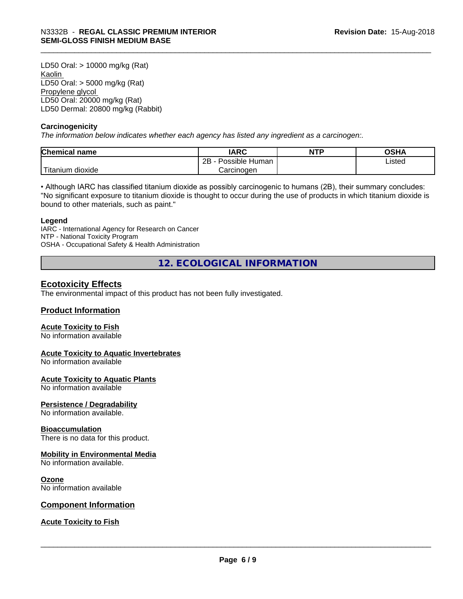LD50 Oral: > 10000 mg/kg (Rat) Kaolin LD50 Oral: > 5000 mg/kg (Rat) Propylene glycol LD50 Oral: 20000 mg/kg (Rat) LD50 Dermal: 20800 mg/kg (Rabbit)

#### **Carcinogenicity**

*The information below indicateswhether each agency has listed any ingredient as a carcinogen:.*

| Chemical<br>∣ name     | <b>IARC</b>                  | <b>NTP</b> | OSHA   |
|------------------------|------------------------------|------------|--------|
|                        | .<br>2B<br>Human<br>Possible |            | Listed |
| n dioxide<br>l itanium | Carcinoɑen                   |            |        |

• Although IARC has classified titanium dioxide as possibly carcinogenic to humans (2B), their summary concludes: "No significant exposure to titanium dioxide is thought to occur during the use of products in which titanium dioxide is bound to other materials, such as paint."

#### **Legend**

IARC - International Agency for Research on Cancer NTP - National Toxicity Program OSHA - Occupational Safety & Health Administration

**12. ECOLOGICAL INFORMATION**

### **Ecotoxicity Effects**

The environmental impact of this product has not been fully investigated.

#### **Product Information**

#### **Acute Toxicity to Fish**

No information available

#### **Acute Toxicity to Aquatic Invertebrates**

No information available

#### **Acute Toxicity to Aquatic Plants**

No information available

#### **Persistence / Degradability**

No information available.

#### **Bioaccumulation**

There is no data for this product.

#### **Mobility in Environmental Media**

No information available.

#### **Ozone**

No information available

#### **Component Information**

#### **Acute Toxicity to Fish**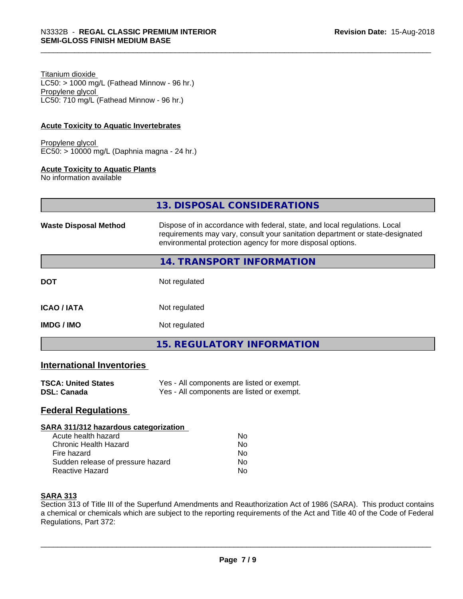Titanium dioxide  $LC50:$  > 1000 mg/L (Fathead Minnow - 96 hr.) Propylene glycol LC50: 710 mg/L (Fathead Minnow - 96 hr.)

#### **Acute Toxicity to Aquatic Invertebrates**

Propylene glycol EC50: > 10000 mg/L (Daphnia magna - 24 hr.)

#### **Acute Toxicity to Aquatic Plants**

No information available

| 13. DISPOSAL CONSIDERATIONS |  |
|-----------------------------|--|
|                             |  |

| <b>Waste Disposal Method</b> | Dispose of in accordance with federal, state, and local regulations. Local<br>requirements may vary, consult your sanitation department or state-designated<br>environmental protection agency for more disposal options. |  |
|------------------------------|---------------------------------------------------------------------------------------------------------------------------------------------------------------------------------------------------------------------------|--|
|                              | <b>14. TRANSPORT INFORMATION</b>                                                                                                                                                                                          |  |
| <b>DOT</b>                   | Not regulated                                                                                                                                                                                                             |  |
| <b>ICAO/IATA</b>             | Not regulated                                                                                                                                                                                                             |  |
| <b>IMDG/IMO</b>              | Not regulated                                                                                                                                                                                                             |  |
|                              | 15. REGULATORY INFORMATION                                                                                                                                                                                                |  |

#### **International Inventories**

| <b>TSCA: United States</b> | Yes - All components are listed or exempt. |
|----------------------------|--------------------------------------------|
| DSL: Canada                | Yes - All components are listed or exempt. |

### **Federal Regulations**

#### **SARA 311/312 hazardous categorization**

| Acute health hazard               | Nο |  |
|-----------------------------------|----|--|
| Chronic Health Hazard             | N٥ |  |
| Fire hazard                       | N٥ |  |
| Sudden release of pressure hazard | Nο |  |
| Reactive Hazard                   | N٥ |  |

#### **SARA 313**

Section 313 of Title III of the Superfund Amendments and Reauthorization Act of 1986 (SARA). This product contains a chemical or chemicals which are subject to the reporting requirements of the Act and Title 40 of the Code of Federal Regulations, Part 372: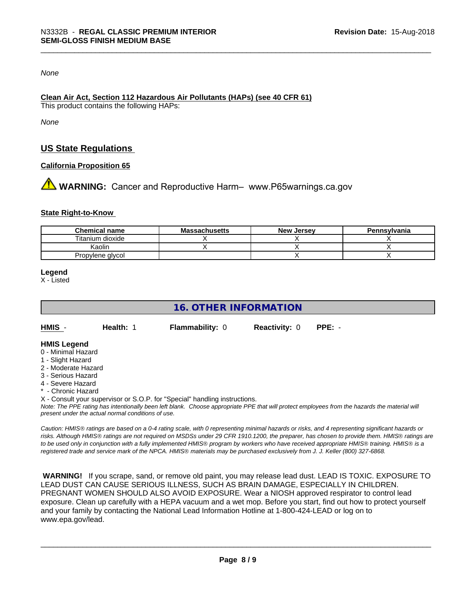*None*

### **Clean Air Act,Section 112 Hazardous Air Pollutants (HAPs) (see 40 CFR 61)**

This product contains the following HAPs:

*None*

# **US State Regulations**

#### **California Proposition 65**

**AN** WARNING: Cancer and Reproductive Harm– www.P65warnings.ca.gov

#### **State Right-to-Know**

| <b>Chemical name</b> | <b>Massachusetts</b> | <b>New Jersey</b> | Pennsylvania |
|----------------------|----------------------|-------------------|--------------|
| Titanium dioxide     |                      |                   |              |
| Kaolin               |                      |                   |              |
| Propylene glycol     |                      |                   |              |

#### **Legend**

X - Listed

# **16. OTHER INFORMATION**

| HMIS | Health: 1 | <b>Flammability: 0</b> | <b>Reactivity: 0 PPE: -</b> |  |
|------|-----------|------------------------|-----------------------------|--|
|      |           |                        |                             |  |

#### **HMIS Legend**

- 0 Minimal Hazard
- 1 Slight Hazard
- 2 Moderate Hazard
- 3 Serious Hazard
- 4 Severe Hazard
- **Chronic Hazard**

X - Consult your supervisor or S.O.P. for "Special" handling instructions.

*Note: The PPE rating has intentionally been left blank. Choose appropriate PPE that will protect employees from the hazards the material will present under the actual normal conditions of use.*

*Caution: HMISÒ ratings are based on a 0-4 rating scale, with 0 representing minimal hazards or risks, and 4 representing significant hazards or risks. Although HMISÒ ratings are not required on MSDSs under 29 CFR 1910.1200, the preparer, has chosen to provide them. HMISÒ ratings are to be used only in conjunction with a fully implemented HMISÒ program by workers who have received appropriate HMISÒ training. HMISÒ is a registered trade and service mark of the NPCA. HMISÒ materials may be purchased exclusively from J. J. Keller (800) 327-6868.*

 **WARNING!** If you scrape, sand, or remove old paint, you may release lead dust. LEAD IS TOXIC. EXPOSURE TO LEAD DUST CAN CAUSE SERIOUS ILLNESS, SUCH AS BRAIN DAMAGE, ESPECIALLY IN CHILDREN. PREGNANT WOMEN SHOULD ALSO AVOID EXPOSURE.Wear a NIOSH approved respirator to control lead exposure. Clean up carefully with a HEPA vacuum and a wet mop. Before you start, find out how to protect yourself and your family by contacting the National Lead Information Hotline at 1-800-424-LEAD or log on to www.epa.gov/lead.